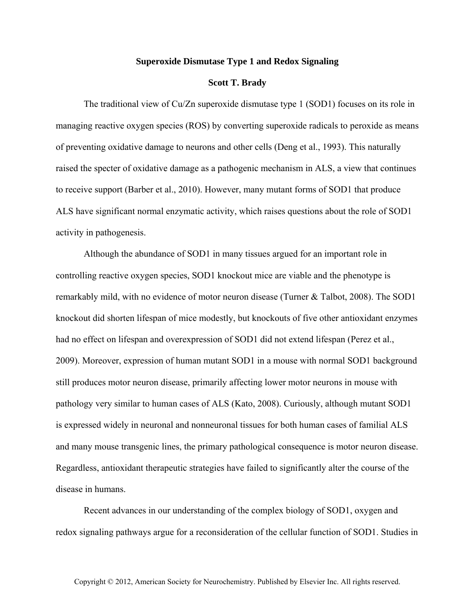## **Superoxide Dismutase Type 1 and Redox Signaling**

## **Scott T. Brady**

The traditional view of Cu/Zn superoxide dismutase type 1 (SOD1) focuses on its role in managing reactive oxygen species (ROS) by converting superoxide radicals to peroxide as means of preventing oxidative damage to neurons and other cells (Deng et al., 1993). This naturally raised the specter of oxidative damage as a pathogenic mechanism in ALS, a view that continues to receive support (Barber et al., 2010). However, many mutant forms of SOD1 that produce ALS have significant normal enzymatic activity, which raises questions about the role of SOD1 activity in pathogenesis.

Although the abundance of SOD1 in many tissues argued for an important role in controlling reactive oxygen species, SOD1 knockout mice are viable and the phenotype is remarkably mild, with no evidence of motor neuron disease (Turner & Talbot, 2008). The SOD1 knockout did shorten lifespan of mice modestly, but knockouts of five other antioxidant enzymes had no effect on lifespan and overexpression of SOD1 did not extend lifespan (Perez et al., 2009). Moreover, expression of human mutant SOD1 in a mouse with normal SOD1 background still produces motor neuron disease, primarily affecting lower motor neurons in mouse with pathology very similar to human cases of ALS (Kato, 2008). Curiously, although mutant SOD1 is expressed widely in neuronal and nonneuronal tissues for both human cases of familial ALS and many mouse transgenic lines, the primary pathological consequence is motor neuron disease. Regardless, antioxidant therapeutic strategies have failed to significantly alter the course of the disease in humans.

Recent advances in our understanding of the complex biology of SOD1, oxygen and redox signaling pathways argue for a reconsideration of the cellular function of SOD1. Studies in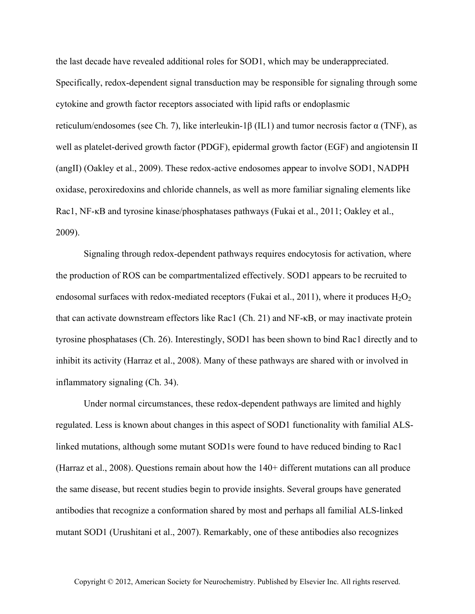the last decade have revealed additional roles for SOD1, which may be underappreciated. Specifically, redox-dependent signal transduction may be responsible for signaling through some cytokine and growth factor receptors associated with lipid rafts or endoplasmic reticulum/endosomes (see Ch. 7), like interleukin-1β (IL1) and tumor necrosis factor  $\alpha$  (TNF), as well as platelet-derived growth factor (PDGF), epidermal growth factor (EGF) and angiotensin II (angII) (Oakley et al., 2009). These redox-active endosomes appear to involve SOD1, NADPH oxidase, peroxiredoxins and chloride channels, as well as more familiar signaling elements like Rac1, NF-κB and tyrosine kinase/phosphatases pathways (Fukai et al., 2011; Oakley et al., 2009).

Signaling through redox-dependent pathways requires endocytosis for activation, where the production of ROS can be compartmentalized effectively. SOD1 appears to be recruited to endosomal surfaces with redox-mediated receptors (Fukai et al., 2011), where it produces  $H_2O_2$ that can activate downstream effectors like Rac1 (Ch. 21) and NF-κB, or may inactivate protein tyrosine phosphatases (Ch. 26). Interestingly, SOD1 has been shown to bind Rac1 directly and to inhibit its activity (Harraz et al., 2008). Many of these pathways are shared with or involved in inflammatory signaling (Ch. 34).

Under normal circumstances, these redox-dependent pathways are limited and highly regulated. Less is known about changes in this aspect of SOD1 functionality with familial ALSlinked mutations, although some mutant SOD1s were found to have reduced binding to Rac1 (Harraz et al., 2008). Questions remain about how the 140+ different mutations can all produce the same disease, but recent studies begin to provide insights. Several groups have generated antibodies that recognize a conformation shared by most and perhaps all familial ALS-linked mutant SOD1 (Urushitani et al., 2007). Remarkably, one of these antibodies also recognizes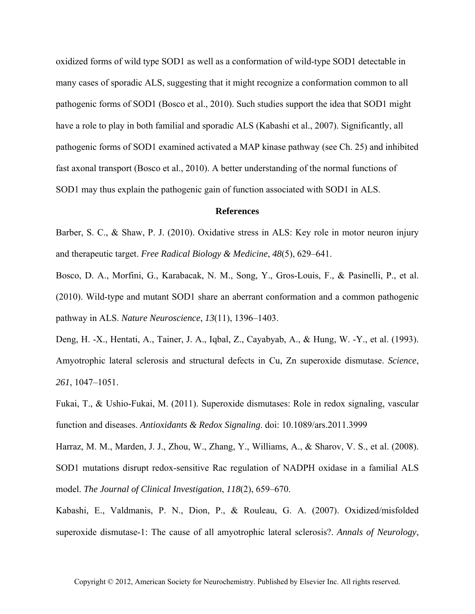oxidized forms of wild type SOD1 as well as a conformation of wild-type SOD1 detectable in many cases of sporadic ALS, suggesting that it might recognize a conformation common to all pathogenic forms of SOD1 (Bosco et al., 2010). Such studies support the idea that SOD1 might have a role to play in both familial and sporadic ALS (Kabashi et al., 2007). Significantly, all pathogenic forms of SOD1 examined activated a MAP kinase pathway (see Ch. 25) and inhibited fast axonal transport (Bosco et al., 2010). A better understanding of the normal functions of SOD1 may thus explain the pathogenic gain of function associated with SOD1 in ALS.

## **References**

Barber, S. C., & Shaw, P. J. (2010). Oxidative stress in ALS: Key role in motor neuron injury and therapeutic target. *Free Radical Biology & Medicine*, *48*(5), 629–641.

Bosco, D. A., Morfini, G., Karabacak, N. M., Song, Y., Gros-Louis, F., & Pasinelli, P., et al. (2010). Wild-type and mutant SOD1 share an aberrant conformation and a common pathogenic pathway in ALS. *Nature Neuroscience*, *13*(11), 1396–1403.

Deng, H. -X., Hentati, A., Tainer, J. A., Iqbal, Z., Cayabyab, A., & Hung, W. -Y., et al. (1993). Amyotrophic lateral sclerosis and structural defects in Cu, Zn superoxide dismutase. *Science*, *261*, 1047–1051.

Fukai, T., & Ushio-Fukai, M. (2011). Superoxide dismutases: Role in redox signaling, vascular function and diseases. *Antioxidants & Redox Signaling*. doi: 10.1089/ars.2011.3999

Harraz, M. M., Marden, J. J., Zhou, W., Zhang, Y., Williams, A., & Sharov, V. S., et al. (2008). SOD1 mutations disrupt redox-sensitive Rac regulation of NADPH oxidase in a familial ALS model. *The Journal of Clinical Investigation*, *118*(2), 659–670.

Kabashi, E., Valdmanis, P. N., Dion, P., & Rouleau, G. A. (2007). Oxidized/misfolded superoxide dismutase-1: The cause of all amyotrophic lateral sclerosis?. *Annals of Neurology*,